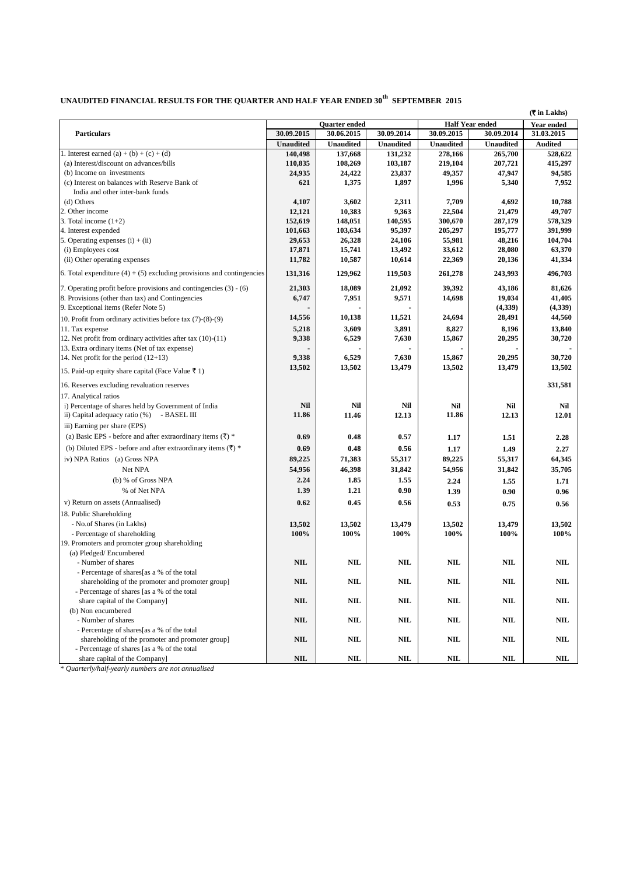## UNAUDITED FINANCIAL RESULTS FOR THE QUARTER AND HALF YEAR ENDED  $30^\mathrm{th}$  SEPTEMBER 2015

|                                                                          | Quarter ended    |                  | <b>Half Year ended</b> |                  | <b>(₹ in Lakhs)</b><br>Year ended |                |
|--------------------------------------------------------------------------|------------------|------------------|------------------------|------------------|-----------------------------------|----------------|
| <b>Particulars</b>                                                       | 30.09.2015       | 30.06.2015       | 30.09.2014             | 30.09.2015       | 30.09.2014                        | 31.03.2015     |
|                                                                          | <b>Unaudited</b> | <b>Unaudited</b> | <b>Unaudited</b>       | <b>Unaudited</b> | <b>Unaudited</b>                  | <b>Audited</b> |
| 1. Interest earned (a) + (b) + (c) + (d)                                 | 140,498          | 137,668          | 131,232                | 278,166          | 265,700                           | 528,622        |
| (a) Interest/discount on advances/bills                                  | 110,835          | 108,269          | 103,187                | 219,104          | 207,721                           | 415,297        |
| (b) Income on investments                                                | 24,935           | 24,422           | 23,837                 | 49,357           | 47,947                            | 94,585         |
| (c) Interest on balances with Reserve Bank of                            | 621              | 1,375            | 1,897                  | 1,996            | 5,340                             | 7,952          |
| India and other inter-bank funds                                         |                  |                  |                        |                  |                                   |                |
| (d) Others                                                               | 4,107            | 3,602            | 2,311                  | 7,709            | 4,692                             | 10,788         |
| 2. Other income                                                          | 12,121           | 10,383           | 9,363                  | 22,504           | 21,479                            | 49,707         |
| 3. Total income $(1+2)$                                                  | 152,619          | 148,051          | 140,595                | 300,670          | 287,179                           | 578,329        |
| 4. Interest expended                                                     | 101,663          | 103,634          | 95,397                 | 205,297          | 195,777                           | 391,999        |
| 5. Operating expenses $(i) + (ii)$                                       | 29,653           | 26,328           | 24,106                 | 55,981           | 48,216                            | 104,704        |
| (i) Employees cost                                                       | 17,871           | 15,741           | 13,492                 | 33,612           | 28,080                            | 63,370         |
| (ii) Other operating expenses                                            | 11,782           | 10,587           | 10,614                 | 22,369           | 20,136                            | 41,334         |
| 6. Total expenditure $(4) + (5)$ excluding provisions and contingencies  | 131,316          | 129,962          | 119,503                | 261,278          | 243,993                           | 496,703        |
| 7. Operating profit before provisions and contingencies (3) - (6)        | 21,303           | 18,089           | 21,092                 | 39,392           | 43,186                            | 81,626         |
| 8. Provisions (other than tax) and Contingencies                         | 6,747            | 7,951            | 9,571                  | 14,698           | 19,034                            | 41,405         |
| 9. Exceptional items (Refer Note 5)                                      |                  |                  |                        |                  | (4,339)                           | (4,339)        |
| 10. Profit from ordinary activities before tax $(7)-(8)-(9)$             | 14,556           | 10,138           | 11,521                 | 24,694           | 28,491                            | 44,560         |
| 11. Tax expense                                                          | 5,218            | 3,609            | 3,891                  | 8,827            | 8,196                             | 13,840         |
| 12. Net profit from ordinary activities after tax $(10)-(11)$            | 9,338            | 6,529            | 7,630                  | 15,867           | 20,295                            | 30,720         |
| 13. Extra ordinary items (Net of tax expense)                            |                  |                  |                        |                  |                                   |                |
| 14. Net profit for the period $(12+13)$                                  | 9,338            | 6,529            | 7,630                  | 15,867           | 20,295                            | 30,720         |
| 15. Paid-up equity share capital (Face Value ₹ 1)                        | 13,502           | 13,502           | 13,479                 | 13,502           | 13,479                            | 13,502         |
| 16. Reserves excluding revaluation reserves                              |                  |                  |                        |                  |                                   | 331,581        |
| 17. Analytical ratios                                                    |                  |                  |                        |                  |                                   |                |
| i) Percentage of shares held by Government of India                      | <b>Nil</b>       | Nil              | Nil                    | <b>Nil</b>       | <b>Nil</b>                        | Nil            |
| ii) Capital adequacy ratio (%) - BASEL III                               | 11.86            | 11.46            | 12.13                  | 11.86            | 12.13                             | 12.01          |
| iii) Earning per share (EPS)                                             |                  |                  |                        |                  |                                   |                |
| (a) Basic EPS - before and after extraordinary items $(\bar{\tau})$ *    | 0.69             | 0.48             | 0.57                   | 1.17             | 1.51                              | 2.28           |
| (b) Diluted EPS - before and after extraordinary items $(\bar{\zeta})$ * | 0.69             | 0.48             | 0.56                   | 1.17             | 1.49                              | 2.27           |
| iv) NPA Ratios (a) Gross NPA                                             | 89,225           | 71,383           | 55,317                 | 89,225           | 55,317                            | 64,345         |
| Net NPA                                                                  |                  | 46,398           | 31,842                 |                  |                                   | 35,705         |
|                                                                          | 54,956           |                  |                        | 54,956           | 31,842                            |                |
| (b) % of Gross NPA                                                       | 2.24             | 1.85             | 1.55                   | 2.24             | 1.55                              | 1.71           |
| % of Net NPA                                                             | 1.39             | 1.21             | 0.90                   | 1.39             | 0.90                              | 0.96           |
| v) Return on assets (Annualised)                                         | 0.62             | 0.45             | 0.56                   | 0.53             | 0.75                              | 0.56           |
| 18. Public Shareholding                                                  |                  |                  |                        |                  |                                   |                |
| - No.of Shares (in Lakhs)                                                | 13,502           | 13,502           | 13,479                 | 13,502           | 13,479                            | 13,502         |
| - Percentage of shareholding                                             | 100%             | 100%             | 100%                   | 100%             | 100%                              | 100%           |
| 19. Promoters and promoter group shareholding                            |                  |                  |                        |                  |                                   |                |
| (a) Pledged/Encumbered                                                   |                  |                  |                        |                  |                                   |                |
| - Number of shares                                                       | <b>NIL</b>       | <b>NIL</b>       | <b>NIL</b>             | <b>NIL</b>       | <b>NIL</b>                        | <b>NIL</b>     |
| - Percentage of shares[as a % of the total                               |                  |                  |                        |                  |                                   |                |
| shareholding of the promoter and promoter group]                         | <b>NIL</b>       | <b>NIL</b>       | <b>NIL</b>             | NIL              | <b>NIL</b>                        | <b>NIL</b>     |
| - Percentage of shares [as a % of the total                              |                  |                  |                        |                  |                                   |                |
| share capital of the Company]                                            | <b>NIL</b>       | <b>NIL</b>       | <b>NIL</b>             | <b>NIL</b>       | <b>NIL</b>                        | <b>NIL</b>     |
| (b) Non encumbered                                                       |                  |                  |                        |                  |                                   |                |
| - Number of shares                                                       | <b>NIL</b>       | <b>NIL</b>       | <b>NIL</b>             | <b>NIL</b>       | <b>NIL</b>                        | <b>NIL</b>     |
| - Percentage of shares[as a % of the total                               |                  |                  |                        |                  |                                   |                |
| shareholding of the promoter and promoter group]                         | <b>NIL</b>       | <b>NIL</b>       | <b>NIL</b>             | <b>NIL</b>       | <b>NIL</b>                        | <b>NIL</b>     |
| - Percentage of shares [as a % of the total                              |                  |                  |                        |                  |                                   |                |
| share capital of the Company]                                            | <b>NIL</b>       | <b>NIL</b>       | $\mathbf{NIL}$         | <b>NIL</b>       | <b>NIL</b>                        | NIL            |

\* *Quarterly/half-yearly numbers are not annualised*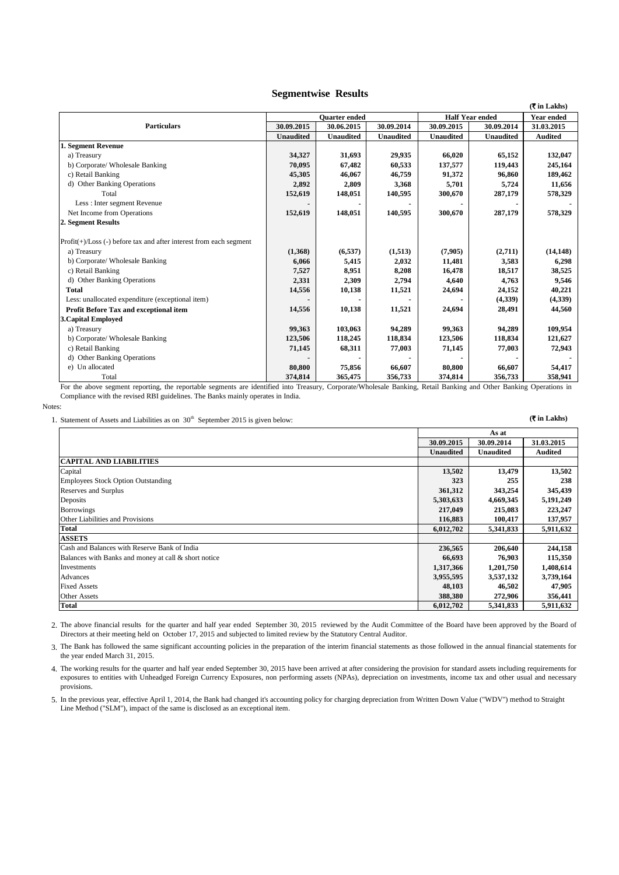## **Segmentwise Results**

|                                                                       |                                                |                  |                  |                  |                   | $(3 \in \mathsf{Lakhs})$ |
|-----------------------------------------------------------------------|------------------------------------------------|------------------|------------------|------------------|-------------------|--------------------------|
|                                                                       | <b>Half Year ended</b><br><b>Ouarter</b> ended |                  |                  |                  | <b>Year ended</b> |                          |
| <b>Particulars</b>                                                    | 30.09.2015                                     | 30.06.2015       | 30.09.2014       | 30.09.2015       | 30.09.2014        | 31.03.2015               |
|                                                                       | <b>Unaudited</b>                               | <b>Unaudited</b> | <b>Unaudited</b> | <b>Unaudited</b> | <b>Unaudited</b>  | <b>Audited</b>           |
| 1. Segment Revenue                                                    |                                                |                  |                  |                  |                   |                          |
| a) Treasury                                                           | 34,327                                         | 31,693           | 29,935           | 66,020           | 65,152            | 132,047                  |
| b) Corporate/ Wholesale Banking                                       | 70,095                                         | 67,482           | 60,533           | 137,577          | 119,443           | 245,164                  |
| c) Retail Banking                                                     | 45,305                                         | 46,067           | 46,759           | 91,372           | 96.860            | 189,462                  |
| d) Other Banking Operations                                           | 2,892                                          | 2,809            | 3,368            | 5,701            | 5,724             | 11,656                   |
| Total                                                                 | 152,619                                        | 148,051          | 140,595          | 300,670          | 287,179           | 578,329                  |
| Less : Inter segment Revenue                                          |                                                |                  |                  |                  |                   |                          |
| Net Income from Operations                                            | 152,619                                        | 148,051          | 140,595          | 300,670          | 287,179           | 578,329                  |
| 2. Segment Results                                                    |                                                |                  |                  |                  |                   |                          |
| $Profit(+) / Loss(-) before tax and after interest from each segment$ |                                                |                  |                  |                  |                   |                          |
| a) Treasury                                                           | (1,368)                                        | (6, 537)         | (1,513)          | (7,905)          | (2,711)           | (14, 148)                |
| b) Corporate/ Wholesale Banking                                       | 6,066                                          | 5,415            | 2,032            | 11,481           | 3,583             | 6,298                    |
| c) Retail Banking                                                     | 7,527                                          | 8,951            | 8,208            | 16,478           | 18,517            | 38,525                   |
| d) Other Banking Operations                                           | 2,331                                          | 2,309            | 2,794            | 4,640            | 4,763             | 9,546                    |
| Total                                                                 | 14,556                                         | 10,138           | 11,521           | 24,694           | 24,152            | 40,221                   |
| Less: unallocated expenditure (exceptional item)                      |                                                |                  |                  |                  | (4,339)           | (4,339)                  |
| Profit Before Tax and exceptional item                                | 14,556                                         | 10,138           | 11,521           | 24,694           | 28,491            | 44,560                   |
| <b>3. Capital Employed</b>                                            |                                                |                  |                  |                  |                   |                          |
| a) Treasury                                                           | 99,363                                         | 103,063          | 94,289           | 99,363           | 94,289            | 109,954                  |
| b) Corporate/ Wholesale Banking                                       | 123,506                                        | 118,245          | 118,834          | 123,506          | 118,834           | 121,627                  |
| c) Retail Banking                                                     | 71,145                                         | 68,311           | 77,003           | 71,145           | 77,003            | 72,943                   |
| d) Other Banking Operations                                           |                                                |                  |                  |                  |                   |                          |
| e) Un allocated                                                       | 80,800                                         | 75,856           | 66,607           | 80,800           | 66,607            | 54,417                   |
| Total                                                                 | 374,814                                        | 365,475          | 356,733          | 374,814          | 356,733           | 358,941                  |

For the above segment reporting, the reportable segments are identified into Treasury, Corporate/Wholesale Banking, Retail Banking and Other Banking Operations in Compliance with the revised RBI guidelines. The Banks mainly operates in India.

Notes:

1. Statement of Assets and Liabilities as on  $30<sup>th</sup>$  September 2015 is given below: **(\*** in Lakhs)

|                                                      | As at            |                  |                |
|------------------------------------------------------|------------------|------------------|----------------|
|                                                      | 30.09.2015       | 30.09.2014       | 31.03.2015     |
|                                                      | <b>Unaudited</b> | <b>Unaudited</b> | <b>Audited</b> |
| <b>CAPITAL AND LIABILITIES</b>                       |                  |                  |                |
| Capital                                              | 13,502           | 13,479           | 13,502         |
| <b>Employees Stock Option Outstanding</b>            | 323              | 255              | 238            |
| Reserves and Surplus                                 | 361,312          | 343,254          | 345,439        |
| Deposits                                             | 5,303,633        | 4,669,345        | 5,191,249      |
| <b>Borrowings</b>                                    | 217,049          | 215,083          | 223,247        |
| Other Liabilities and Provisions                     | 116,883          | 100,417          | 137,957        |
| <b>Total</b>                                         | 6,012,702        | 5,341,833        | 5,911,632      |
| <b>ASSETS</b>                                        |                  |                  |                |
| Cash and Balances with Reserve Bank of India         | 236,565          | 206,640          | 244,158        |
| Balances with Banks and money at call & short notice | 66,693           | 76,903           | 115,350        |
| Investments                                          | 1,317,366        | 1,201,750        | 1,408,614      |
| Advances                                             | 3,955,595        | 3,537,132        | 3,739,164      |
| <b>Fixed Assets</b>                                  | 48,103           | 46,502           | 47,905         |
| <b>Other Assets</b>                                  | 388,380          | 272,906          | 356,441        |
| <b>Total</b>                                         | 6,012,702        | 5,341,833        | 5,911,632      |

2. The above financial results for the quarter and half year ended September 30, 2015 reviewed by the Audit Committee of the Board have been approved by the Board of Directors at their meeting held on October 17, 2015 and subjected to limited review by the Statutory Central Auditor.

3. The Bank has followed the same significant accounting policies in the preparation of the interim financial statements as those followed in the annual financial statements for the year ended March 31, 2015.

4. The working results for the quarter and half year ended September 30, 2015 have been arrived at after considering the provision for standard assets including requirements for exposures to entities with Unheadged Foreign Currency Exposures, non performing assets (NPAs), depreciation on investments, income tax and other usual and necessary provisions.

5. In the previous year, effective April 1, 2014, the Bank had changed it's accounting policy for charging depreciation from Written Down Value ("WDV") method to Straight Line Method ("SLM"), impact of the same is disclosed as an exceptional item.